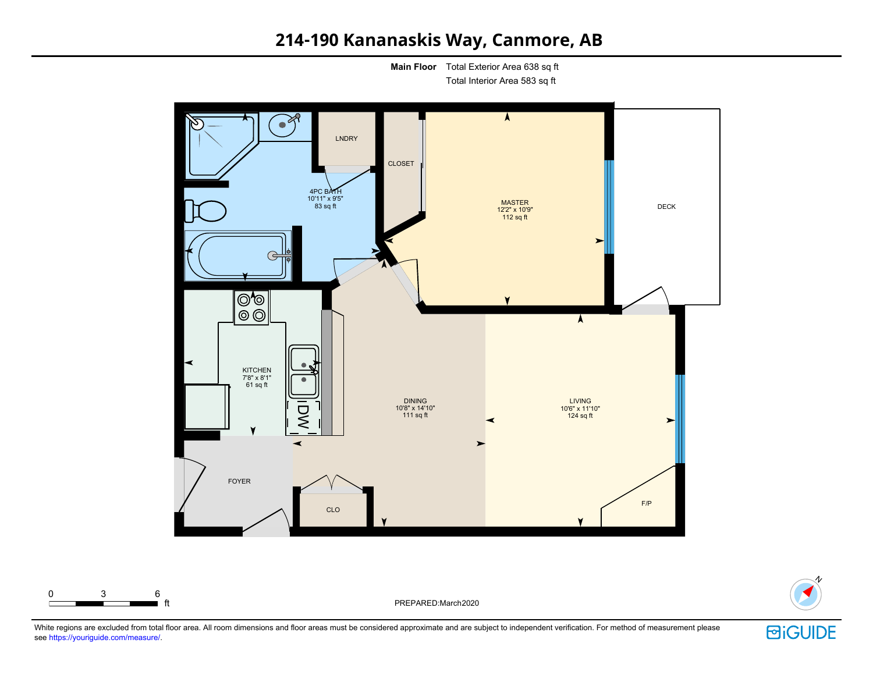# 214-190 Kananaskis Way, Canmore, AB

**Main Floor** Total Exterior Area 638 sq ft

Total Interior Area 583 sq ft



PREPARED:March2020

N **BiGUIDE** 

White regions are excluded from total floor area. All room dimensions and floor areas must be considered approximate and are subject to independent verification. For method of measurement please see https://youriguide.com/measure/.

0 3 6

ft